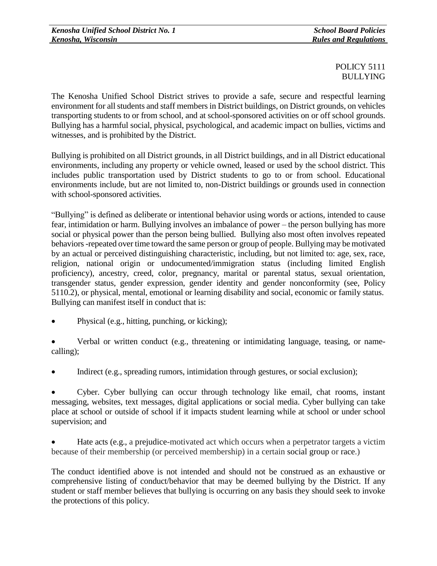## POLICY 5111 BULLYING

The Kenosha Unified School District strives to provide a safe, secure and respectful learning environment for all students and staff members in District buildings, on District grounds, on vehicles transporting students to or from school, and at school-sponsored activities on or off school grounds. Bullying has a harmful social, physical, psychological, and academic impact on bullies, victims and witnesses, and is prohibited by the District.

Bullying is prohibited on all District grounds, in all District buildings, and in all District educational environments, including any property or vehicle owned, leased or used by the school district. This includes public transportation used by District students to go to or from school. Educational environments include, but are not limited to, non-District buildings or grounds used in connection with school-sponsored activities.

"Bullying" is defined as deliberate or intentional behavior using words or actions, intended to cause fear, intimidation or harm. Bullying involves an imbalance of power – the person bullying has more social or physical power than the person being bullied. Bullying also most often involves repeated behaviors-repeated over time toward the same person or group of people. Bullying may be motivated by an actual or perceived distinguishing characteristic, including, but not limited to: age, sex, race, religion, national origin or undocumented/immigration status (including limited English proficiency), ancestry, creed, color, pregnancy, marital or parental status, sexual orientation, transgender status, gender expression, gender identity and gender nonconformity (see, Policy 5110.2), or physical, mental, emotional or learning disability and social, economic or family status. Bullying can manifest itself in conduct that is:

Physical (e.g., hitting, punching, or kicking);

 Verbal or written conduct (e.g., threatening or intimidating language, teasing, or namecalling);

Indirect (e.g., spreading rumors, intimidation through gestures, or social exclusion);

 Cyber. Cyber bullying can occur through technology like email, chat rooms, instant messaging, websites, text messages, digital applications or social media. Cyber bullying can take place at school or outside of school if it impacts student learning while at school or under school supervision; and

 Hate acts (e.g., a prejudice-motivated act which occurs when a perpetrator targets a victim because of their membership (or perceived membership) in a certain social group or race.)

The conduct identified above is not intended and should not be construed as an exhaustive or comprehensive listing of conduct/behavior that may be deemed bullying by the District. If any student or staff member believes that bullying is occurring on any basis they should seek to invoke the protections of this policy.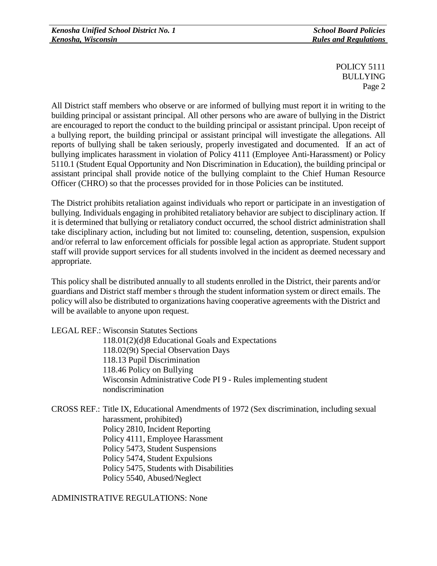POLICY 5111 BULLYING Page 2

All District staff members who observe or are informed of bullying must report it in writing to the building principal or assistant principal. All other persons who are aware of bullying in the District are encouraged to report the conduct to the building principal or assistant principal. Upon receipt of a bullying report, the building principal or assistant principal will investigate the allegations. All reports of bullying shall be taken seriously, properly investigated and documented. If an act of bullying implicates harassment in violation of Policy 4111 (Employee Anti-Harassment) or Policy 5110.1 (Student Equal Opportunity and Non Discrimination in Education), the building principal or assistant principal shall provide notice of the bullying complaint to the Chief Human Resource Officer (CHRO) so that the processes provided for in those Policies can be instituted.

The District prohibits retaliation against individuals who report or participate in an investigation of bullying. Individuals engaging in prohibited retaliatory behavior are subject to disciplinary action. If it is determined that bullying or retaliatory conduct occurred, the school district administration shall take disciplinary action, including but not limited to: counseling, detention, suspension, expulsion and/or referral to law enforcement officials for possible legal action as appropriate. Student support staff will provide support services for all students involved in the incident as deemed necessary and appropriate.

This policy shall be distributed annually to all students enrolled in the District, their parents and/or guardians and District staff member s through the student information system or direct emails. The policy will also be distributed to organizations having cooperative agreements with the District and will be available to anyone upon request.

LEGAL REF.: Wisconsin Statutes Sections

118.01(2)(d)8 Educational Goals and Expectations 118.02(9t) Special Observation Days 118.13 Pupil Discrimination 118.46 Policy on Bullying Wisconsin Administrative Code PI 9 - Rules implementing student nondiscrimination

CROSS REF.: Title IX, Educational Amendments of 1972 (Sex discrimination, including sexual harassment, prohibited) Policy 2810, Incident Reporting Policy 4111, Employee Harassment Policy 5473, Student Suspensions Policy 5474, Student Expulsions Policy 5475, Students with Disabilities Policy 5540, Abused/Neglect

ADMINISTRATIVE REGULATIONS: None